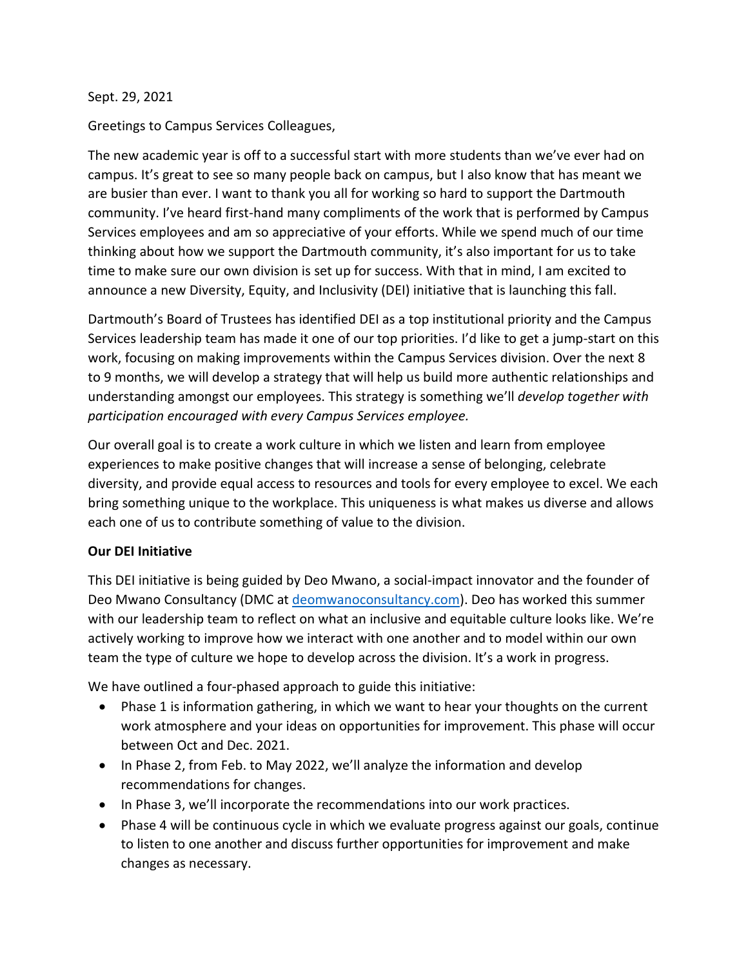## Sept. 29, 2021

Greetings to Campus Services Colleagues,

The new academic year is off to a successful start with more students than we've ever had on campus. It's great to see so many people back on campus, but I also know that has meant we are busier than ever. I want to thank you all for working so hard to support the Dartmouth community. I've heard first-hand many compliments of the work that is performed by Campus Services employees and am so appreciative of your efforts. While we spend much of our time thinking about how we support the Dartmouth community, it's also important for us to take time to make sure our own division is set up for success. With that in mind, I am excited to announce a new Diversity, Equity, and Inclusivity (DEI) initiative that is launching this fall.

Dartmouth's Board of Trustees has identified DEI as a top institutional priority and the Campus Services leadership team has made it one of our top priorities. I'd like to get a jump-start on this work, focusing on making improvements within the Campus Services division. Over the next 8 to 9 months, we will develop a strategy that will help us build more authentic relationships and understanding amongst our employees. This strategy is something we'll *develop together with participation encouraged with every Campus Services employee.* 

Our overall goal is to create a work culture in which we listen and learn from employee experiences to make positive changes that will increase a sense of belonging, celebrate diversity, and provide equal access to resources and tools for every employee to excel. We each bring something unique to the workplace. This uniqueness is what makes us diverse and allows each one of us to contribute something of value to the division.

## **Our DEI Initiative**

This DEI initiative is being guided by Deo Mwano, a social-impact innovator and the founder of Deo Mwano Consultancy (DMC at deomwanoconsultancy.com). Deo has worked this summer with our leadership team to reflect on what an inclusive and equitable culture looks like. We're actively working to improve how we interact with one another and to model within our own team the type of culture we hope to develop across the division. It's a work in progress.

We have outlined a four-phased approach to guide this initiative:

- Phase 1 is information gathering, in which we want to hear your thoughts on the current work atmosphere and your ideas on opportunities for improvement. This phase will occur between Oct and Dec. 2021.
- In Phase 2, from Feb. to May 2022, we'll analyze the information and develop recommendations for changes.
- In Phase 3, we'll incorporate the recommendations into our work practices.
- Phase 4 will be continuous cycle in which we evaluate progress against our goals, continue to listen to one another and discuss further opportunities for improvement and make changes as necessary.